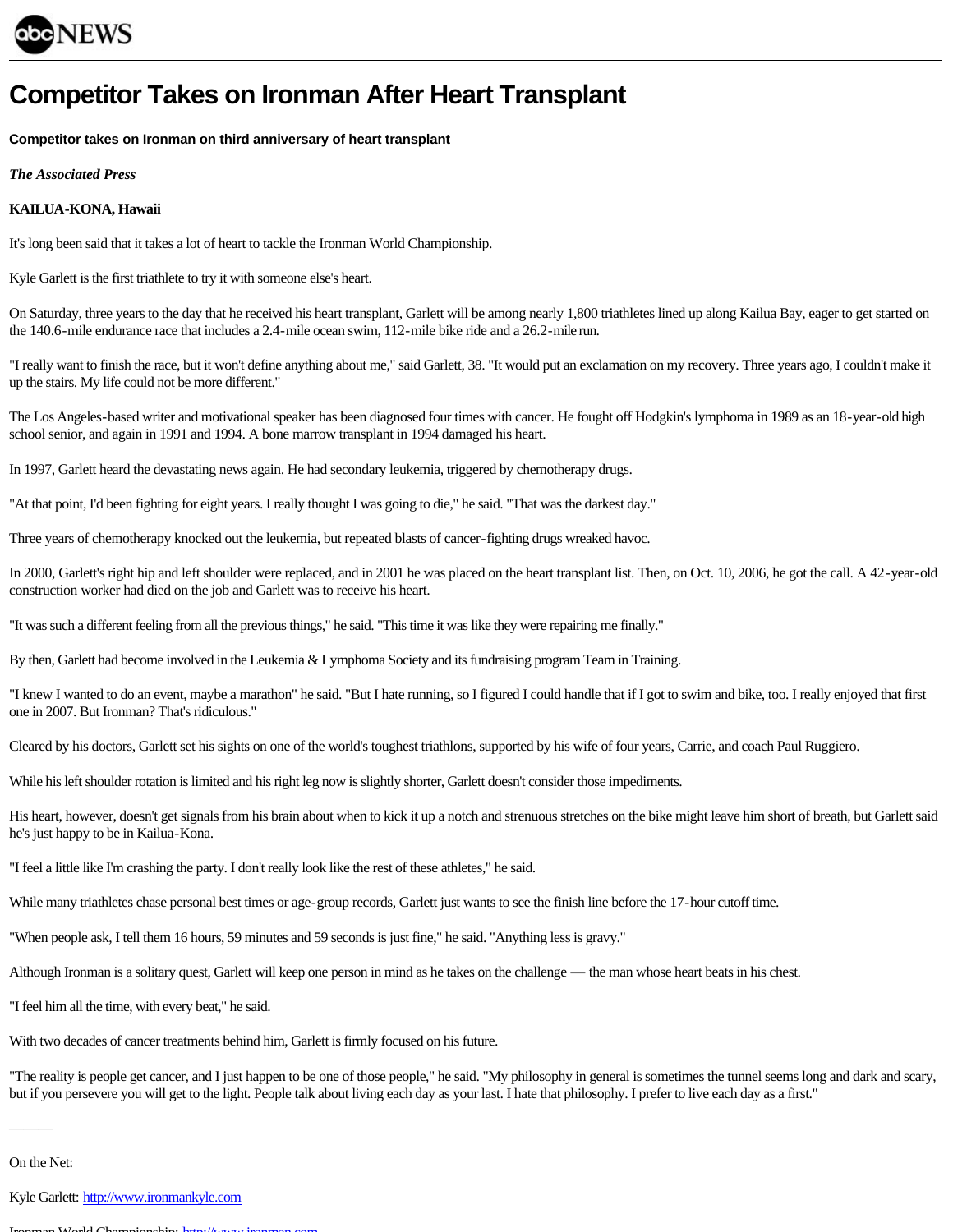

## **Competitor Takes on Ironman After Heart Transplant**

**Competitor takes on Ironman on third anniversary of heart transplant**

*The Associated Press*

## **KAILUA-KONA, Hawaii**

It's long been said that it takes a lot of heart to tackle the Ironman World Championship.

Kyle Garlett is the first triathlete to try it with someone else's heart.

 $\frac{1}{10}$  Samuel and transplant transplant transplant transported transplant,  $\frac{1}{10}$  or the day that he received his heart transplant,  $\frac{1}{10}$  for the and  $\frac{1}{10}$  for the started one of the started one get star the 140.6-mile endurance race that includes a 2.4-mile ocean swim, 112-mile bike ride and a 26.2-mile run.

"I really want to finish the race, but it won't define anything about me," said Garlett, 38. "It would put an exclamation on my recovery. Three years ago, I couldn't make it up the stairs. My life could not be more different."

The Los Angeles-based writer and motivational speaker has been diagnosed four times with cancer. He fought off Hodgkin's lymphoma in 1989 as an 18-year-old high school senior, and again in 1991 and 1994. A bone marrow transplant in 1994 damaged his heart.

In 1997, Garlett heard the devastating news again. He had secondary leukemia, triggered by chemotherapy drugs.

"At that point, I'd been fighting for eight years. I really thought I was going to die," he said. "That was the darkest day."

Three years of chemotherapy knocked out the leukemia, but repeated blasts of cancer-fighting drugs wreaked havoc.

In 2000, Garlett's right hip and left shoulder were replaced, and in 2001 he was placed on the heart transplant list. Then, on Oct. 10, 2006, he got the call. A 42-year-old construction worker had died on the job and Garlett was to receive his heart.

"It was such a different feeling from all the previous things," he said. "This time it was like they were repairing me finally."

By then, Garlett had become involved in the Leukemia & Lymphoma Society and its fundraising program Team in Training.

The domain of do an event, maybe a marathone in state. "But I hate running, so I figured I could handle that if I got to swim and bike, too. I really enjoyed that first first running that's ridiculous."

Cleared by his doctors, Garlett set his sights on one of the world's toughest triathlons, supported by his wife of four years, Carrie, and coach Paul Ruggiero.

While his left shoulder rotation is limited and his right leg now is slightly shorter, Garlett doesn't consider those impediments.

His heart, however, doesn't get signals from his brain about when to kick it up a notch and strenuous stretches on the bike might leave him short of breath, but Garlett said he's just happy to be in Kailua-Kona.

"I feel a little like I'm crashing the party. I don't really look like the rest of these athletes," he said.

While many triathletes chase personal best times or age-group records, Garlett just wants to see the finish line before the 17-hour cutoff time.

"When people ask, I tell them 16 hours, 59 minutes and 59 seconds is just fine," he said. "Anything less is gravy."

Although Ironman is a solitary quest, Garlett will keep one person in mind as he takes on the challenge — the man whose heart beats in his chest.

"I feel him all the time, with every beat," he said.

With two decades of cancer treatments behind him, Garlett is firmly focused on his future.

but if you persevere you will get to the light People talk about living each day as your last. I hate that philosophy I prefer to live each day as a first." but if you persevere you will get to the light. People talk about living each day as your last. I hate that philosophy. I prefer to live each day as a first."

———

Kyle Garlett: [http://www.ironmankyle.com](http://www.ironmankyle.com/)